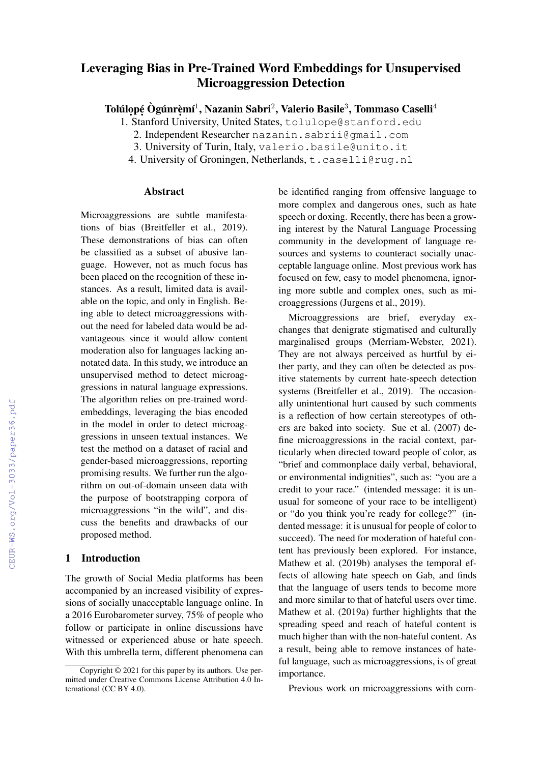# Leveraging Bias in Pre-Trained Word Embeddings for Unsupervised Microaggression Detection

Tolúlọpẹ́ Ògúnrẹ̀mí $^1$ , Nazanin Sabri $^2$ , Valerio Basile $^3$ , Tommaso Caselli $^4$ 

1. Stanford University, United States, tolulope@stanford.edu

2. Independent Researcher nazanin.sabrii@gmail.com

4. University of Groningen, Netherlands, t.caselli@rug.nl

#### Abstract

Microaggressions are subtle manifestations of bias (Breitfeller et al., 2019). These demonstrations of bias can often be classified as a subset of abusive language. However, not as much focus has been placed on the recognition of these instances. As a result, limited data is available on the topic, and only in English. Being able to detect microaggressions without the need for labeled data would be advantageous since it would allow content moderation also for languages lacking annotated data. In this study, we introduce an unsupervised method to detect microaggressions in natural language expressions. The algorithm relies on pre-trained wordembeddings, leveraging the bias encoded in the model in order to detect microaggressions in unseen textual instances. We test the method on a dataset of racial and gender-based microaggressions, reporting promising results. We further run the algorithm on out-of-domain unseen data with the purpose of bootstrapping corpora of microaggressions "in the wild", and discuss the benefits and drawbacks of our proposed method.

# 1 Introduction

The growth of Social Media platforms has been accompanied by an increased visibility of expressions of socially unacceptable language online. In a 2016 Eurobarometer survey, 75% of people who follow or participate in online discussions have witnessed or experienced abuse or hate speech. With this umbrella term, different phenomena can be identified ranging from offensive language to more complex and dangerous ones, such as hate speech or doxing. Recently, there has been a growing interest by the Natural Language Processing community in the development of language resources and systems to counteract socially unacceptable language online. Most previous work has focused on few, easy to model phenomena, ignoring more subtle and complex ones, such as microaggressions (Jurgens et al., 2019).

Microaggressions are brief, everyday exchanges that denigrate stigmatised and culturally marginalised groups (Merriam-Webster, 2021). They are not always perceived as hurtful by either party, and they can often be detected as positive statements by current hate-speech detection systems (Breitfeller et al., 2019). The occasionally unintentional hurt caused by such comments is a reflection of how certain stereotypes of others are baked into society. Sue et al. (2007) define microaggressions in the racial context, particularly when directed toward people of color, as "brief and commonplace daily verbal, behavioral, or environmental indignities", such as: "you are a credit to your race." (intended message: it is unusual for someone of your race to be intelligent) or "do you think you're ready for college?" (indented message: it is unusual for people of color to succeed). The need for moderation of hateful content has previously been explored. For instance, Mathew et al. (2019b) analyses the temporal effects of allowing hate speech on Gab, and finds that the language of users tends to become more and more similar to that of hateful users over time. Mathew et al. (2019a) further highlights that the spreading speed and reach of hateful content is much higher than with the non-hateful content. As a result, being able to remove instances of hateful language, such as microaggressions, is of great importance.

Previous work on microaggressions with com-

<sup>3.</sup> University of Turin, Italy, valerio.basile@unito.it

Copyright © 2021 for this paper by its authors. Use permitted under Creative Commons License Attribution 4.0 International (CC BY 4.0).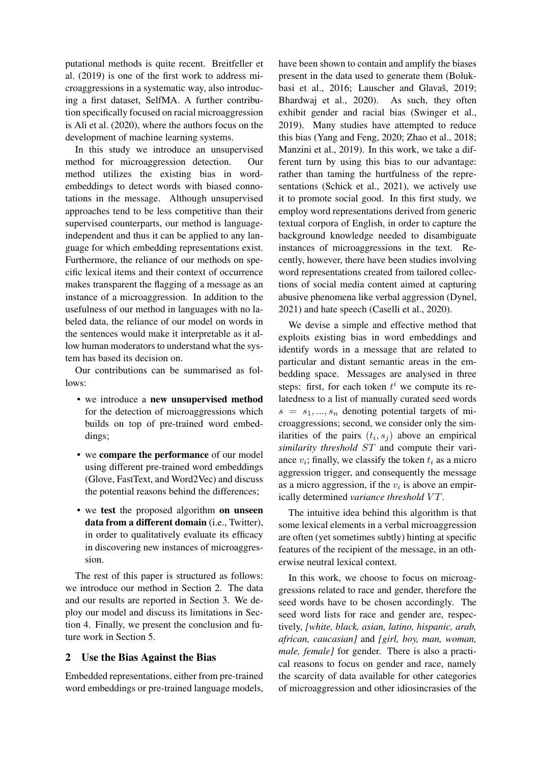putational methods is quite recent. Breitfeller et al. (2019) is one of the first work to address microaggressions in a systematic way, also introducing a first dataset, SelfMA. A further contribution specifically focused on racial microaggression is Ali et al. (2020), where the authors focus on the development of machine learning systems.

In this study we introduce an unsupervised method for microaggression detection. Our method utilizes the existing bias in wordembeddings to detect words with biased connotations in the message. Although unsupervised approaches tend to be less competitive than their supervised counterparts, our method is languageindependent and thus it can be applied to any language for which embedding representations exist. Furthermore, the reliance of our methods on specific lexical items and their context of occurrence makes transparent the flagging of a message as an instance of a microaggression. In addition to the usefulness of our method in languages with no labeled data, the reliance of our model on words in the sentences would make it interpretable as it allow human moderators to understand what the system has based its decision on.

Our contributions can be summarised as follows:

- we introduce a new unsupervised method for the detection of microaggressions which builds on top of pre-trained word embeddings;
- we compare the performance of our model using different pre-trained word embeddings (Glove, FastText, and Word2Vec) and discuss the potential reasons behind the differences;
- we test the proposed algorithm on unseen data from a different domain (i.e., Twitter), in order to qualitatively evaluate its efficacy in discovering new instances of microaggression.

The rest of this paper is structured as follows: we introduce our method in Section 2. The data and our results are reported in Section 3. We deploy our model and discuss its limitations in Section 4. Finally, we present the conclusion and future work in Section 5.

## 2 Use the Bias Against the Bias

Embedded representations, either from pre-trained word embeddings or pre-trained language models,

have been shown to contain and amplify the biases present in the data used to generate them (Bolukbasi et al., 2016; Lauscher and Glavaš, 2019; Bhardwaj et al., 2020). As such, they often exhibit gender and racial bias (Swinger et al., 2019). Many studies have attempted to reduce this bias (Yang and Feng, 2020; Zhao et al., 2018; Manzini et al., 2019). In this work, we take a different turn by using this bias to our advantage: rather than taming the hurtfulness of the representations (Schick et al., 2021), we actively use it to promote social good. In this first study, we employ word representations derived from generic textual corpora of English, in order to capture the background knowledge needed to disambiguate instances of microaggressions in the text. Recently, however, there have been studies involving word representations created from tailored collections of social media content aimed at capturing abusive phenomena like verbal aggression (Dynel, 2021) and hate speech (Caselli et al., 2020).

We devise a simple and effective method that exploits existing bias in word embeddings and identify words in a message that are related to particular and distant semantic areas in the embedding space. Messages are analysed in three steps: first, for each token  $t^i$  we compute its relatedness to a list of manually curated seed words  $s = s_1, ..., s_n$  denoting potential targets of microaggressions; second, we consider only the similarities of the pairs  $(t_i, s_j)$  above an empirical *similarity threshold* ST and compute their variance  $v_i$ ; finally, we classify the token  $t_i$  as a micro aggression trigger, and consequently the message as a micro aggression, if the  $v_i$  is above an empirically determined *variance threshold VT*.

The intuitive idea behind this algorithm is that some lexical elements in a verbal microaggression are often (yet sometimes subtly) hinting at specific features of the recipient of the message, in an otherwise neutral lexical context.

In this work, we choose to focus on microaggressions related to race and gender, therefore the seed words have to be chosen accordingly. The seed word lists for race and gender are, respectively, *[white, black, asian, latino, hispanic, arab, african, caucasian]* and *[girl, boy, man, woman, male, female]* for gender. There is also a practical reasons to focus on gender and race, namely the scarcity of data available for other categories of microaggression and other idiosincrasies of the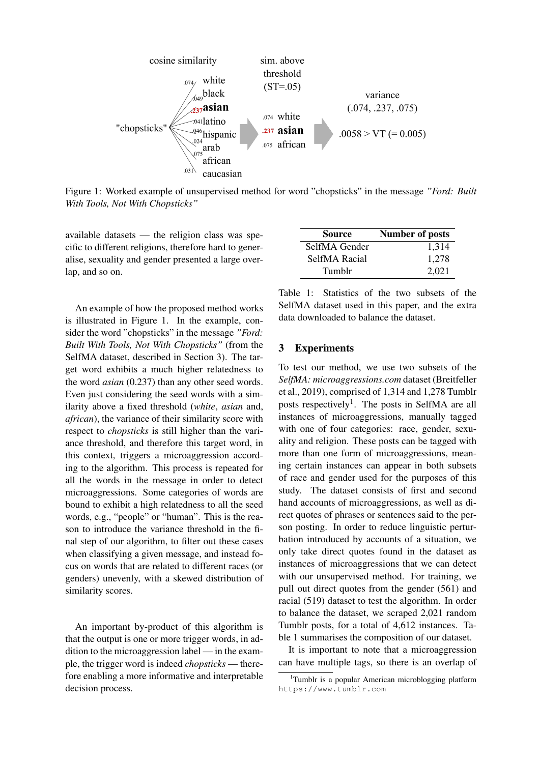

Figure 1: Worked example of unsupervised method for word "chopsticks" in the message *"Ford: Built With Tools, Not With Chopsticks"*

available datasets — the religion class was specific to different religions, therefore hard to generalise, sexuality and gender presented a large overlap, and so on.

An example of how the proposed method works is illustrated in Figure 1. In the example, consider the word "chopsticks" in the message *"Ford: Built With Tools, Not With Chopsticks"* (from the SelfMA dataset, described in Section 3). The target word exhibits a much higher relatedness to the word *asian* (0.237) than any other seed words. Even just considering the seed words with a similarity above a fixed threshold (*white*, *asian* and, *african*), the variance of their similarity score with respect to *chopsticks* is still higher than the variance threshold, and therefore this target word, in this context, triggers a microaggression according to the algorithm. This process is repeated for all the words in the message in order to detect microaggressions. Some categories of words are bound to exhibit a high relatedness to all the seed words, e.g., "people" or "human". This is the reason to introduce the variance threshold in the final step of our algorithm, to filter out these cases when classifying a given message, and instead focus on words that are related to different races (or genders) unevenly, with a skewed distribution of similarity scores.

An important by-product of this algorithm is that the output is one or more trigger words, in addition to the microaggression label — in the example, the trigger word is indeed *chopsticks* — therefore enabling a more informative and interpretable decision process.

| <b>Source</b> | <b>Number of posts</b> |  |  |
|---------------|------------------------|--|--|
| SelfMA Gender | 1,314                  |  |  |
| SelfMA Racial | 1.278                  |  |  |
| Tumblr        | 2.021                  |  |  |

Table 1: Statistics of the two subsets of the SelfMA dataset used in this paper, and the extra data downloaded to balance the dataset.

#### 3 Experiments

To test our method, we use two subsets of the *SelfMA: microaggressions.com* dataset (Breitfeller et al., 2019), comprised of 1,314 and 1,278 Tumblr posts respectively<sup>1</sup>. The posts in SelfMA are all instances of microaggressions, manually tagged with one of four categories: race, gender, sexuality and religion. These posts can be tagged with more than one form of microaggressions, meaning certain instances can appear in both subsets of race and gender used for the purposes of this study. The dataset consists of first and second hand accounts of microaggressions, as well as direct quotes of phrases or sentences said to the person posting. In order to reduce linguistic perturbation introduced by accounts of a situation, we only take direct quotes found in the dataset as instances of microaggressions that we can detect with our unsupervised method. For training, we pull out direct quotes from the gender (561) and racial (519) dataset to test the algorithm. In order to balance the dataset, we scraped 2,021 random Tumblr posts, for a total of 4,612 instances. Table 1 summarises the composition of our dataset.

It is important to note that a microaggression can have multiple tags, so there is an overlap of

<sup>&</sup>lt;sup>1</sup>Tumblr is a popular American microblogging platform https://www.tumblr.com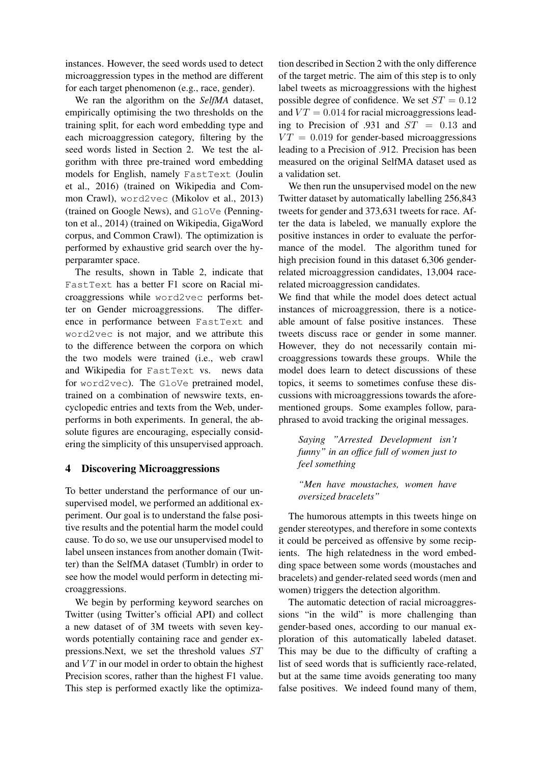instances. However, the seed words used to detect microaggression types in the method are different for each target phenomenon (e.g., race, gender).

We ran the algorithm on the *SelfMA* dataset, empirically optimising the two thresholds on the training split, for each word embedding type and each microaggression category, filtering by the seed words listed in Section 2. We test the algorithm with three pre-trained word embedding models for English, namely FastText (Joulin et al., 2016) (trained on Wikipedia and Common Crawl), word2vec (Mikolov et al., 2013) (trained on Google News), and GloVe (Pennington et al., 2014) (trained on Wikipedia, GigaWord corpus, and Common Crawl). The optimization is performed by exhaustive grid search over the hyperparamter space.

The results, shown in Table 2, indicate that FastText has a better F1 score on Racial microaggressions while word2vec performs better on Gender microaggressions. The difference in performance between FastText and word2vec is not major, and we attribute this to the difference between the corpora on which the two models were trained (i.e., web crawl and Wikipedia for FastText vs. news data for word2vec). The GloVe pretrained model, trained on a combination of newswire texts, encyclopedic entries and texts from the Web, underperforms in both experiments. In general, the absolute figures are encouraging, especially considering the simplicity of this unsupervised approach.

## 4 Discovering Microaggressions

To better understand the performance of our unsupervised model, we performed an additional experiment. Our goal is to understand the false positive results and the potential harm the model could cause. To do so, we use our unsupervised model to label unseen instances from another domain (Twitter) than the SelfMA dataset (Tumblr) in order to see how the model would perform in detecting microaggressions.

We begin by performing keyword searches on Twitter (using Twitter's official API) and collect a new dataset of of 3M tweets with seven keywords potentially containing race and gender expressions.Next, we set the threshold values ST and  $VT$  in our model in order to obtain the highest Precision scores, rather than the highest F1 value. This step is performed exactly like the optimiza-

tion described in Section 2 with the only difference of the target metric. The aim of this step is to only label tweets as microaggressions with the highest possible degree of confidence. We set  $ST = 0.12$ and  $VT = 0.014$  for racial microaggressions leading to Precision of .931 and  $ST = 0.13$  and  $VT = 0.019$  for gender-based microaggressions leading to a Precision of .912. Precision has been measured on the original SelfMA dataset used as a validation set.

We then run the unsupervised model on the new Twitter dataset by automatically labelling 256,843 tweets for gender and 373,631 tweets for race. After the data is labeled, we manually explore the positive instances in order to evaluate the performance of the model. The algorithm tuned for high precision found in this dataset 6,306 genderrelated microaggression candidates, 13,004 racerelated microaggression candidates.

We find that while the model does detect actual instances of microaggression, there is a noticeable amount of false positive instances. These tweets discuss race or gender in some manner. However, they do not necessarily contain microaggressions towards these groups. While the model does learn to detect discussions of these topics, it seems to sometimes confuse these discussions with microaggressions towards the aforementioned groups. Some examples follow, paraphrased to avoid tracking the original messages.

*Saying "Arrested Development isn't funny" in an office full of women just to feel something*

*"Men have moustaches, women have oversized bracelets"*

The humorous attempts in this tweets hinge on gender stereotypes, and therefore in some contexts it could be perceived as offensive by some recipients. The high relatedness in the word embedding space between some words (moustaches and bracelets) and gender-related seed words (men and women) triggers the detection algorithm.

The automatic detection of racial microaggressions "in the wild" is more challenging than gender-based ones, according to our manual exploration of this automatically labeled dataset. This may be due to the difficulty of crafting a list of seed words that is sufficiently race-related, but at the same time avoids generating too many false positives. We indeed found many of them,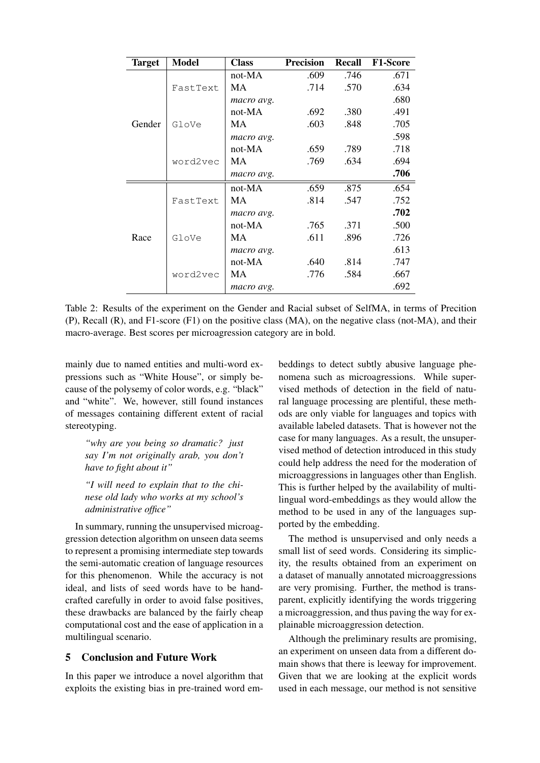| <b>Target</b> | <b>Model</b> | <b>Class</b> | <b>Precision</b> | <b>Recall</b> | <b>F1-Score</b> |
|---------------|--------------|--------------|------------------|---------------|-----------------|
| Gender        | FastText     | not-MA       | .609             | .746          | .671            |
|               |              | MA           | .714             | .570          | .634            |
|               |              | macro avg.   |                  |               | .680            |
|               | GloVe        | not-MA       | .692             | .380          | .491            |
|               |              | МA           | .603             | .848          | .705            |
|               |              | macro avg.   |                  |               | .598            |
|               | word2vec     | not-MA       | .659             | .789          | .718            |
|               |              | MA           | .769             | .634          | .694            |
|               |              | macro avg.   |                  |               | .706            |
| Race          | FastText     | not-MA       | .659             | .875          | .654            |
|               |              | MA           | .814             | .547          | .752            |
|               |              | macro avg.   |                  |               | .702            |
|               | GloVe        | not-MA       | .765             | .371          | .500            |
|               |              | MA           | .611             | .896          | .726            |
|               |              | macro avg.   |                  |               | .613            |
|               | word2vec     | not-MA       | .640             | .814          | .747            |
|               |              | MA           | .776             | .584          | .667            |
|               |              | macro avg.   |                  |               | .692            |

Table 2: Results of the experiment on the Gender and Racial subset of SelfMA, in terms of Precition (P), Recall (R), and F1-score (F1) on the positive class (MA), on the negative class (not-MA), and their macro-average. Best scores per microagression category are in bold.

mainly due to named entities and multi-word expressions such as "White House", or simply because of the polysemy of color words, e.g. "black" and "white". We, however, still found instances of messages containing different extent of racial stereotyping.

*"why are you being so dramatic? just say I'm not originally arab, you don't have to fight about it"*

*"I will need to explain that to the chinese old lady who works at my school's administrative office"*

In summary, running the unsupervised microaggression detection algorithm on unseen data seems to represent a promising intermediate step towards the semi-automatic creation of language resources for this phenomenon. While the accuracy is not ideal, and lists of seed words have to be handcrafted carefully in order to avoid false positives, these drawbacks are balanced by the fairly cheap computational cost and the ease of application in a multilingual scenario.

# 5 Conclusion and Future Work

In this paper we introduce a novel algorithm that exploits the existing bias in pre-trained word embeddings to detect subtly abusive language phenomena such as microagressions. While supervised methods of detection in the field of natural language processing are plentiful, these methods are only viable for languages and topics with available labeled datasets. That is however not the case for many languages. As a result, the unsupervised method of detection introduced in this study could help address the need for the moderation of microaggressions in languages other than English. This is further helped by the availability of multilingual word-embeddings as they would allow the method to be used in any of the languages supported by the embedding.

The method is unsupervised and only needs a small list of seed words. Considering its simplicity, the results obtained from an experiment on a dataset of manually annotated microaggressions are very promising. Further, the method is transparent, explicitly identifying the words triggering a microaggression, and thus paving the way for explainable microaggression detection.

Although the preliminary results are promising, an experiment on unseen data from a different domain shows that there is leeway for improvement. Given that we are looking at the explicit words used in each message, our method is not sensitive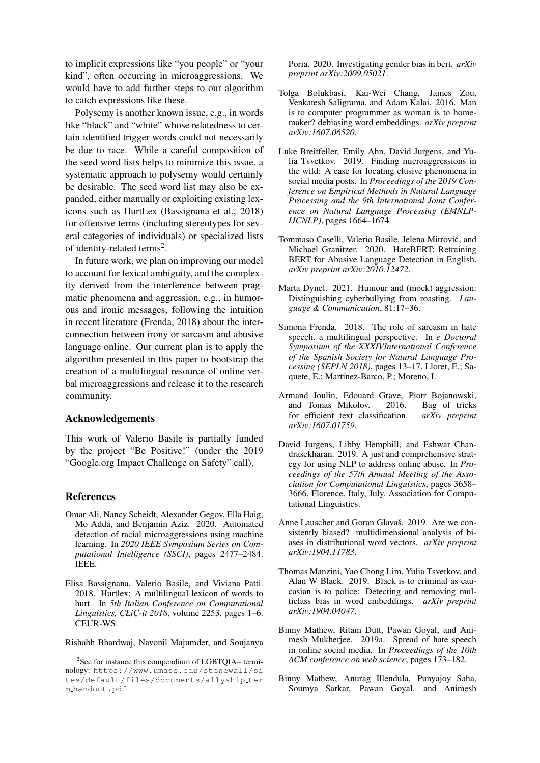to implicit expressions like "you people" or "your kind", often occurring in microaggressions. We would have to add further steps to our algorithm to catch expressions like these.

Polysemy is another known issue, e.g., in words like "black" and "white" whose relatedness to certain identified trigger words could not necessarily be due to race. While a careful composition of the seed word lists helps to minimize this issue, a systematic approach to polysemy would certainly be desirable. The seed word list may also be expanded, either manually or exploiting existing lexicons such as HurtLex (Bassignana et al., 2018) for offensive terms (including stereotypes for several categories of individuals) or specialized lists of identity-related terms<sup>2</sup>.

In future work, we plan on improving our model to account for lexical ambiguity, and the complexity derived from the interference between pragmatic phenomena and aggression, e.g., in humorous and ironic messages, following the intuition in recent literature (Frenda, 2018) about the interconnection between irony or sarcasm and abusive language online. Our current plan is to apply the algorithm presented in this paper to bootstrap the creation of a multilingual resource of online verbal microaggressions and release it to the research community.

# Acknowledgements

This work of Valerio Basile is partially funded by the project "Be Positive!" (under the 2019 "Google.org Impact Challenge on Safety" call).

#### References

- Omar Ali, Nancy Scheidt, Alexander Gegov, Ella Haig, Mo Adda, and Benjamin Aziz. 2020. Automated detection of racial microaggressions using machine learning. In *2020 IEEE Symposium Series on Computational Intelligence (SSCI)*, pages 2477–2484. IEEE.
- Elisa Bassignana, Valerio Basile, and Viviana Patti. 2018. Hurtlex: A multilingual lexicon of words to hurt. In *5th Italian Conference on Computational Linguistics, CLiC-it 2018*, volume 2253, pages 1–6. CEUR-WS.

Rishabh Bhardwaj, Navonil Majumder, and Soujanya

Poria. 2020. Investigating gender bias in bert. *arXiv preprint arXiv:2009.05021*.

- Tolga Bolukbasi, Kai-Wei Chang, James Zou, Venkatesh Saligrama, and Adam Kalai. 2016. Man is to computer programmer as woman is to homemaker? debiasing word embeddings. *arXiv preprint arXiv:1607.06520*.
- Luke Breitfeller, Emily Ahn, David Jurgens, and Yulia Tsvetkov. 2019. Finding microaggressions in the wild: A case for locating elusive phenomena in social media posts. In *Proceedings of the 2019 Conference on Empirical Methods in Natural Language Processing and the 9th International Joint Conference on Natural Language Processing (EMNLP-IJCNLP)*, pages 1664–1674.
- Tommaso Caselli, Valerio Basile, Jelena Mitrovic, and ´ Michael Granitzer. 2020. HateBERT: Retraining BERT for Abusive Language Detection in English. *arXiv preprint arXiv:2010.12472*.
- Marta Dynel. 2021. Humour and (mock) aggression: Distinguishing cyberbullying from roasting. *Language & Communication*, 81:17–36.
- Simona Frenda. 2018. The role of sarcasm in hate speech. a multilingual perspective. In *e Doctoral Symposium of the XXXIVInternational Conference of the Spanish Society for Natural Language Processing (SEPLN 2018)*, pages 13–17. Lloret, E.; Saquete, E.; Martínez-Barco, P.; Moreno, I.
- Armand Joulin, Edouard Grave, Piotr Bojanowski, and Tomas Mikolov. 2016. Bag of tricks for efficient text classification. *arXiv preprint arXiv:1607.01759*.
- David Jurgens, Libby Hemphill, and Eshwar Chandrasekharan. 2019. A just and comprehensive strategy for using NLP to address online abuse. In *Proceedings of the 57th Annual Meeting of the Association for Computational Linguistics*, pages 3658– 3666, Florence, Italy, July. Association for Computational Linguistics.
- Anne Lauscher and Goran Glavaš. 2019. Are we consistently biased? multidimensional analysis of biases in distributional word vectors. *arXiv preprint arXiv:1904.11783*.
- Thomas Manzini, Yao Chong Lim, Yulia Tsvetkov, and Alan W Black. 2019. Black is to criminal as caucasian is to police: Detecting and removing multiclass bias in word embeddings. *arXiv preprint arXiv:1904.04047*.
- Binny Mathew, Ritam Dutt, Pawan Goyal, and Animesh Mukherjee. 2019a. Spread of hate speech in online social media. In *Proceedings of the 10th ACM conference on web science*, pages 173–182.
- Binny Mathew, Anurag Illendula, Punyajoy Saha, Soumya Sarkar, Pawan Goyal, and Animesh

<sup>&</sup>lt;sup>2</sup>See for instance this compendium of LGBTQIA+ terminology: https://www.umass.edu/stonewall/si tes/default/files/documents/allyship ter m handout.pdf